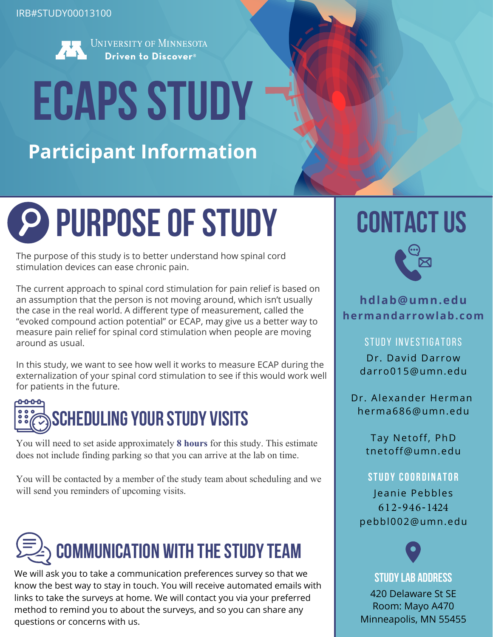

UNIVERSITY OF MINNESOTA Driven to Discover<sup>®</sup>

# **ECAPS STUDY**

**Participant Information**

## **PURPOSE OF STUDY** CONTACT US

The purpose of this study is to better understand how spinal cord stimulation devices can ease chronic pain.

The current approach to spinal cord stimulation for pain relief is based on an assumption that the person is not moving around, which isn't usually the case in the real world. A different type of measurement, called the "evoked compound action potential" or ECAP, may give us a better way to measure pain relief for spinal cord stimulation when people are moving around as usual.

In this study, we want to see how well it works to measure ECAP during the externalization of your spinal cord stimulation to see if this would work well for patients in the future.



You will need to set aside approximately **8 hours** for this study. This estimate does not include finding parking so that you can arrive at the lab on time.

You will be contacted by a member of the study team about scheduling and we will send you reminders of upcoming visits.



We will ask you to take a communication preferences survey so that we know the best way to stay in touch. You will receive automated emails with links to take the surveys at home. We will contact you via your preferred method to remind you to about the surveys, and so you can share any questions or concerns with us.



**hdlab@umn.edu hermandarrowlab.com**

#### STUDY INVESTIGATORS

Dr. David Darrow [darro015@umn.edu](mailto:darro015@umn.edu)

[Dr. Alexander Herman](mailto:nixdorf@umn.edu) [herma686@umn.edu](mailto:nixdorf@umn.edu)

> Tay Netoff, PhD tnetoff@umn.edu

#### **STUDY COORDINATOR**

Jeanie Pebbles 612-946-1424 pebbl002@umn.edu

#### **Study Lab Address**

420 Delaware St SE Room: Mayo A470 Minneapolis, MN 55455